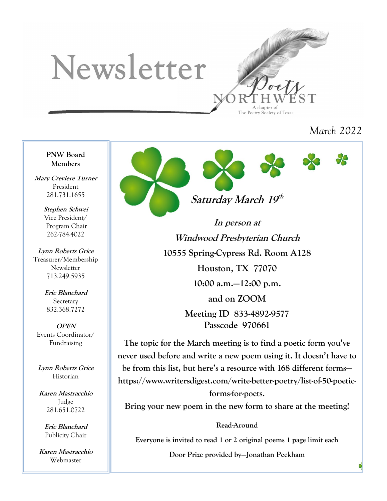# Newsletter



*March 2022*

**PNW Board Members**

**Mary Creviere Turner** President 281.731.1655

> **Stephen Schwei** Vice President/ Program Chair 262-784-4022

**Lynn Roberts Grice** Treasurer/Membership Newsletter 713.249.5935

> **Eric Blanchard Secretary** 832.368.7272

**OPEN** Events Coordinator/ Fundraising

**Lynn Roberts Grice** Historian

**Karen Mastracchio** Judge 281.651.0722

> **Eric Blanchard** Publicity Chair

**Karen Mastracchio** Webmaster



**In person at Windwood Presbyterian Church 10555 Spring-Cypress Rd. Room A128 Houston, TX 77070 10:00 a.m.—12:00 p.m. and on ZOOM Meeting ID 833-4892-9577**

**Passcode 970661**

**The topic for the March meeting is to find a poetic form you've never used before and write a new poem using it. It doesn't have to be from this list, but here's a resource with 168 different forms https://www.writersdigest.com/write-better-poetry/list-of-50-poeticforms-for-poets.** 

**Bring your new poem in the new form to share at the meeting!**

**Read-Around**

**Everyone is invited to read 1 or 2 original poems 1 page limit each**

**Door Prize provided by—Jonathan Peckham**